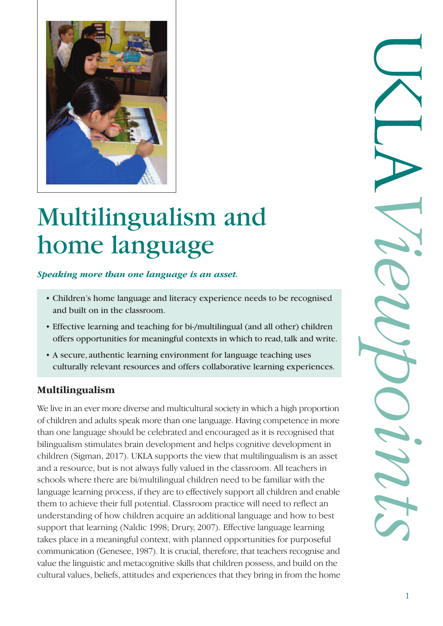

# Multilingualism and home language

#### *Speaking more than one language is an asset.*

- Children's home language and literacy experience needs to be recognised and built on in the classroom.
- Effective learning and teaching for bi-/multilingual (and all other) children offers opportunities for meaningful contexts in which to read, talk and write.
- A secure, authentic learning environment for language teaching uses culturally relevant resources and offers collaborative learning experiences.

### **Multilingualism**

We live in an ever more diverse and multicultural society in which a high proportion of children and adults speak more than one language. Having competence in more than one language should be celebrated and encouraged as it is recognised that bilingualism stimulates brain development and helps cognitive development in children (Sigman, 2017). UKLA supports the view that multilingualism is an asset and a resource, but is not always fully valued in the classroom. All teachers in schools where there are bi/multilingual children need to be familiar with the language learning process, if they are to effectively support all children and enable them to achieve their full potential. Classroom practice will need to reflect an understanding of how children acquire an additional language and how to best support that learning (Naldic 1998; Drury, 2007). Effective language learning takes place in a meaningful context, with planned opportunities for purposeful communication (Genesee, 1987). It is crucial, therefore, that teachers recognise and value the linguistic and metacognitive skills that children possess, and build on the cultural values, beliefs, attitudes and experiences that they bring in from the home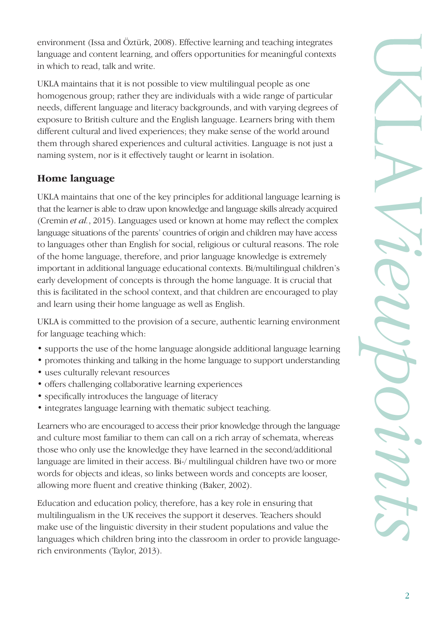environment (Issa and Öztürk, 2008). Effective learning and teaching integrates language and content learning, and offers opportunities for meaningful contexts in which to read, talk and write.

UKLA maintains that it is not possible to view multilingual people as one homogenous group; rather they are individuals with a wide range of particular needs, different language and literacy backgrounds, and with varying degrees of exposure to British culture and the English language. Learners bring with them different cultural and lived experiences; they make sense of the world around them through shared experiences and cultural activities. Language is not just a naming system, nor is it effectively taught or learnt in isolation.

# **Home language**

UKLA maintains that one of the key principles for additional language learning is that the learner is able to draw upon knowledge and language skills already acquired (Cremin *et al.*, 2015). Languages used or known at home may reflect the complex language situations of the parents' countries of origin and children may have access to languages other than English for social, religious or cultural reasons. The role of the home language, therefore, and prior language knowledge is extremely important in additional language educational contexts. Bi/multilingual children's early development of concepts is through the home language. It is crucial that this is facilitated in the school context, and that children are encouraged to play and learn using their home language as well as English.

UKLA is committed to the provision of a secure, authentic learning environment for language teaching which:

- supports the use of the home language alongside additional language learning
- promotes thinking and talking in the home language to support understanding
- uses culturally relevant resources
- offers challenging collaborative learning experiences
- specifically introduces the language of literacy
- integrates language learning with thematic subject teaching.

Learners who are encouraged to access their prior knowledge through the language and culture most familiar to them can call on a rich array of schemata, whereas those who only use the knowledge they have learned in the second/additional language are limited in their access. Bi-/ multilingual children have two or more words for objects and ideas, so links between words and concepts are looser, allowing more fluent and creative thinking (Baker, 2002).

Education and education policy, therefore, has a key role in ensuring that multilingualism in the UK receives the support it deserves. Teachers should make use of the linguistic diversity in their student populations and value the languages which children bring into the classroom in order to provide languagerich environments (Taylor, 2013).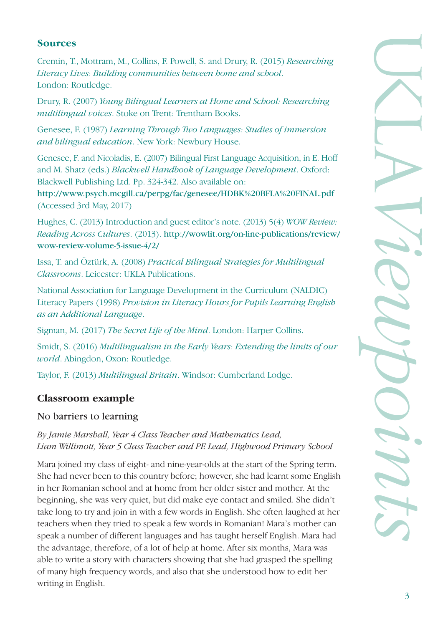## **Sources**

Cremin, T., Mottram, M., Collins, F. Powell, S. and Drury, R. (2015) *Researching Literacy Lives: Building communities between home and school*. London: Routledge.

Drury, R. (2007) *Young Bilingual Learners at Home and School: Researching multilingual voices*. Stoke on Trent: Trentham Books.

Genesee, F. (1987) *Learning Through Two Languages: Studies of immersion and bilingual education*. New York: Newbury House.

Genesee, F. and Nicoladis, E. (2007) Bilingual First Language Acquisition, in E. Hoff and M. Shatz (eds.) *Blackwell Handbook of Language Development*. Oxford: Blackwell Publishing Ltd. Pp. 324-342. Also available on:

http://www.psych.mcgill.ca/perpg/fac/genesee/HDBK%20BFLA%20FINAL.pdf (Accessed 3rd May, 2017)

Hughes, C. (2013) Introduction and guest editor's note. (2013) 5(4) *WOW Review: Reading Across Cultures*. (2013). http://wowlit.org/on-line-publications/review/ wow-review-volume-5-issue-4/2/

Issa, T. and Öztürk, A. (2008) *Practical Bilingual Strategies for Multilingual Classrooms*. Leicester: UKLA Publications.

National Association for Language Development in the Curriculum (NALDIC) Literacy Papers (1998) *Provision in Literacy Hours for Pupils Learning English as an Additional Language*.

Sigman, M. (2017) *The Secret Life of the Mind*. London: Harper Collins.

Smidt, S. (2016) *Multilingualism in the Early Years: Extending the limits of our world*. Abingdon, Oxon: Routledge.

Taylor, F. (2013) *Multilingual Britain*. Windsor: Cumberland Lodge.

# **Classroom example**

### No barriers to learning

*By Jamie Marshall, Year 4 Class Teacher and Mathematics Lead, Liam Willimott, Year 5 Class Teacher and PE Lead, Highwood Primary School*

Mara joined my class of eight- and nine-year-olds at the start of the Spring term. She had never been to this country before; however, she had learnt some English in her Romanian school and at home from her older sister and mother. At the beginning, she was very quiet, but did make eye contact and smiled. She didn't take long to try and join in with a few words in English. She often laughed at her teachers when they tried to speak a few words in Romanian! Mara's mother can speak a number of different languages and has taught herself English. Mara had the advantage, therefore, of a lot of help at home. After six months, Mara was able to write a story with characters showing that she had grasped the spelling of many high frequency words, and also that she understood how to edit her writing in English.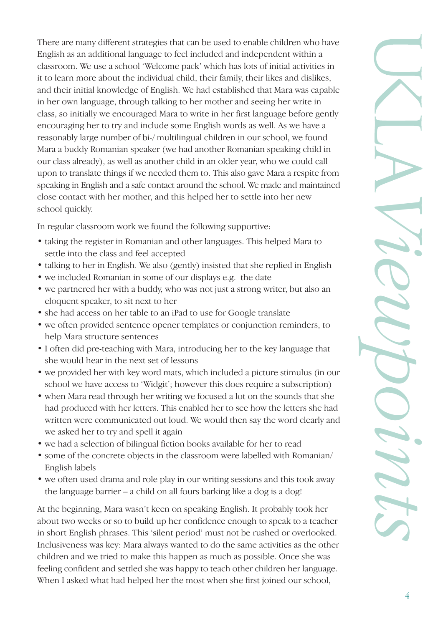There are many different strategies that can be used to enable children who have English as an additional language to feel included and independent within a classroom. We use a school 'Welcome pack' which has lots of initial activities in it to learn more about the individual child, their family, their likes and dislikes, and their initial knowledge of English. We had established that Mara was capable in her own language, through talking to her mother and seeing her write in class, so initially we encouraged Mara to write in her first language before gently encouraging her to try and include some English words as well. As we have a reasonably large number of bi-/ multilingual children in our school, we found Mara a buddy Romanian speaker (we had another Romanian speaking child in our class already), as well as another child in an older year, who we could call upon to translate things if we needed them to. This also gave Mara a respite from speaking in English and a safe contact around the school. We made and maintained close contact with her mother, and this helped her to settle into her new school quickly.

In regular classroom work we found the following supportive:

- taking the register in Romanian and other languages. This helped Mara to settle into the class and feel accepted
- talking to her in English. We also (gently) insisted that she replied in English
- we included Romanian in some of our displays e.g. the date
- we partnered her with a buddy, who was not just a strong writer, but also an eloquent speaker, to sit next to her
- she had access on her table to an iPad to use for Google translate
- we often provided sentence opener templates or conjunction reminders, to help Mara structure sentences
- I often did pre-teaching with Mara, introducing her to the key language that she would hear in the next set of lessons
- we provided her with key word mats, which included a picture stimulus (in our school we have access to 'Widgit'; however this does require a subscription)
- when Mara read through her writing we focused a lot on the sounds that she had produced with her letters. This enabled her to see how the letters she had written were communicated out loud. We would then say the word clearly and we asked her to try and spell it again
- we had a selection of bilingual fiction books available for her to read
- some of the concrete objects in the classroom were labelled with Romanian/ English labels
- we often used drama and role play in our writing sessions and this took away the language barrier – a child on all fours barking like a dog is a dog!

At the beginning, Mara wasn't keen on speaking English. It probably took her about two weeks or so to build up her confidence enough to speak to a teacher in short English phrases. This 'silent period' must not be rushed or overlooked. Inclusiveness was key: Mara always wanted to do the same activities as the other children and we tried to make this happen as much as possible. Once she was feeling confident and settled she was happy to teach other children her language. When I asked what had helped her the most when she first joined our school,